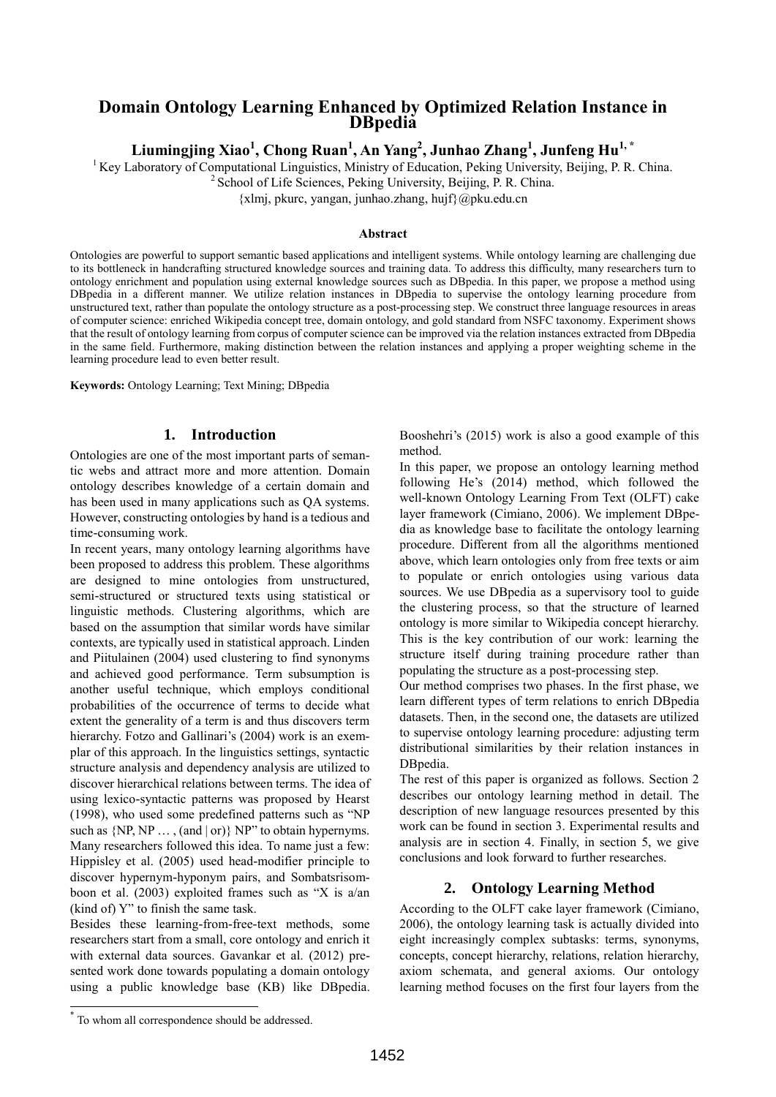## **Domain Ontology Learning Enhanced by Optimized Relation Instance in DBpedia**

 $\mathbf{L}$ iumingjing Xiao $^{1}$ , Chong Ruan $^{1}$ , An Yang $^{2}$ , Junhao Zhang $^{1}$ , Junfeng Hu $^{1,\, *}$ 

 $1$ Key Laboratory of Computational Linguistics, Ministry of Education, Peking University, Beijing, P. R. China.

<sup>2</sup> School of Life Sciences, Peking University, Beijing, P. R. China.

{xlmj, pkurc, yangan, junhao.zhang, hujf}@pku.edu.cn

#### **Abstract**

Ontologies are powerful to support semantic based applications and intelligent systems. While ontology learning are challenging due to its bottleneck in handcrafting structured knowledge sources and training data. To address this difficulty, many researchers turn to ontology enrichment and population using external knowledge sources such as DBpedia. In this paper, we propose a method using DBpedia in a different manner. We utilize relation instances in DBpedia to supervise the ontology learning procedure from unstructured text, rather than populate the ontology structure as a post-processing step. We construct three language resources in areas of computer science: enriched Wikipedia concept tree, domain ontology, and gold standard from NSFC taxonomy. Experiment shows that the result of ontology learning from corpus of computer science can be improved via the relation instances extracted from DBpedia in the same field. Furthermore, making distinction between the relation instances and applying a proper weighting scheme in the learning procedure lead to even better result.

**Keywords:** Ontology Learning; Text Mining; DBpedia

### **1. Introduction**

Ontologies are one of the most important parts of semantic webs and attract more and more attention. Domain ontology describes knowledge of a certain domain and has been used in many applications such as QA systems. However, constructing ontologies by hand is a tedious and time-consuming work.

In recent years, many ontology learning algorithms have been proposed to address this problem. These algorithms are designed to mine ontologies from unstructured, semi-structured or structured texts using statistical or linguistic methods. Clustering algorithms, which are based on the assumption that similar words have similar contexts, are typically used in statistical approach. Linden and Piitulainen (2004) used clustering to find synonyms and achieved good performance. Term subsumption is another useful technique, which employs conditional probabilities of the occurrence of terms to decide what extent the generality of a term is and thus discovers term hierarchy. Fotzo and Gallinari's (2004) work is an exemplar of this approach. In the linguistics settings, syntactic structure analysis and dependency analysis are utilized to discover hierarchical relations between terms. The idea of using lexico-syntactic patterns was proposed by Hearst (1998), who used some predefined patterns such as "NP such as  $\{NP, NP, \ldots, (and | or)\} NP$ " to obtain hypernyms. Many researchers followed this idea. To name just a few: Hippisley et al. (2005) used head-modifier principle to discover hypernym-hyponym pairs, and Sombatsrisomboon et al. (2003) exploited frames such as "X is a/an (kind of) Y" to finish the same task.

Besides these learning-from-free-text methods, some researchers start from a small, core ontology and enrich it with external data sources. Gavankar et al. (2012) presented work done towards populating a domain ontology using a public knowledge base (KB) like DBpedia.

Booshehri's (2015) work is also a good example of this method.

In this paper, we propose an ontology learning method following He's (2014) method, which followed the well-known Ontology Learning From Text (OLFT) cake layer framework (Cimiano, 2006). We implement DBpedia as knowledge base to facilitate the ontology learning procedure. Different from all the algorithms mentioned above, which learn ontologies only from free texts or aim to populate or enrich ontologies using various data sources. We use DBpedia as a supervisory tool to guide the clustering process, so that the structure of learned ontology is more similar to Wikipedia concept hierarchy. This is the key contribution of our work: learning the structure itself during training procedure rather than populating the structure as a post-processing step.

Our method comprises two phases. In the first phase, we learn different types of term relations to enrich DBpedia datasets. Then, in the second one, the datasets are utilized to supervise ontology learning procedure: adjusting term distributional similarities by their relation instances in DBpedia.

The rest of this paper is organized as follows. Section 2 describes our ontology learning method in detail. The description of new language resources presented by this work can be found in section 3. Experimental results and analysis are in section 4. Finally, in section 5, we give conclusions and look forward to further researches.

### **2. Ontology Learning Method**

According to the OLFT cake layer framework (Cimiano, 2006), the ontology learning task is actually divided into eight increasingly complex subtasks: terms, synonyms, concepts, concept hierarchy, relations, relation hierarchy, axiom schemata, and general axioms. Our ontology learning method focuses on the first four layers from the

l

<sup>\*</sup> To whom all correspondence should be addressed.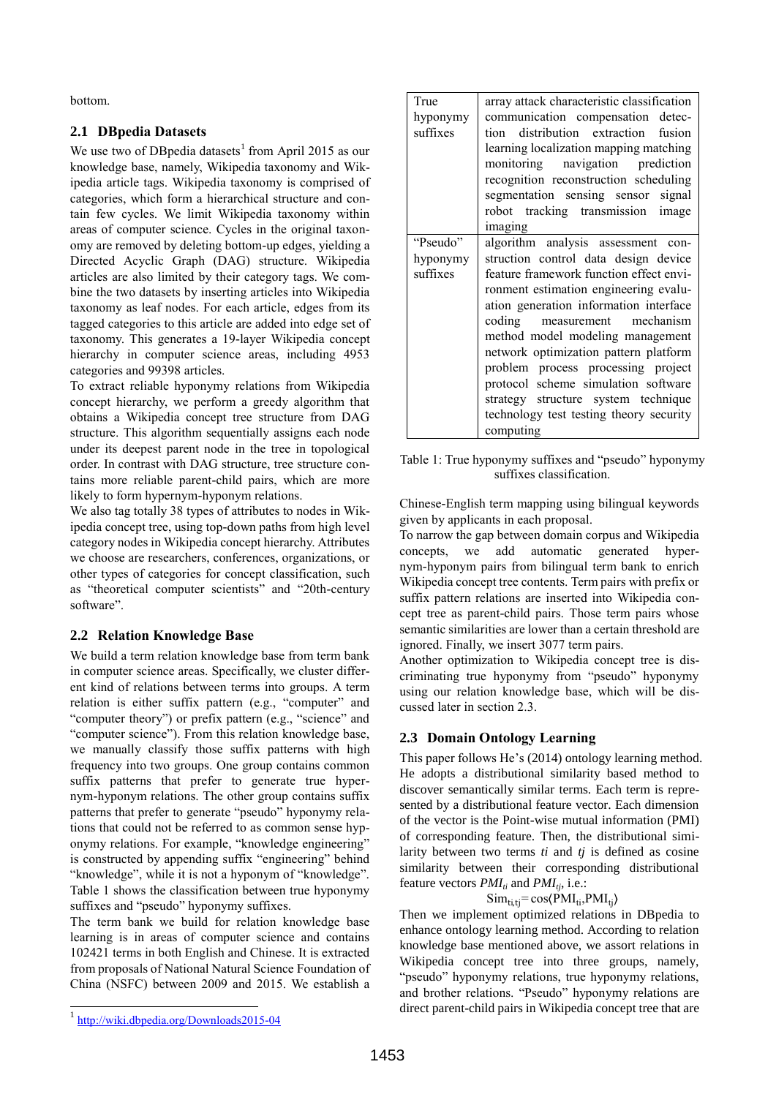bottom.

### **2.1 DBpedia Datasets**

We use two of DB pedia datasets<sup>1</sup> from April 2015 as our knowledge base, namely, Wikipedia taxonomy and Wikipedia article tags. Wikipedia taxonomy is comprised of categories, which form a hierarchical structure and contain few cycles. We limit Wikipedia taxonomy within areas of computer science. Cycles in the original taxonomy are removed by deleting bottom-up edges, yielding a Directed Acyclic Graph (DAG) structure. Wikipedia articles are also limited by their category tags. We combine the two datasets by inserting articles into Wikipedia taxonomy as leaf nodes. For each article, edges from its tagged categories to this article are added into edge set of taxonomy. This generates a 19-layer Wikipedia concept hierarchy in computer science areas, including 4953 categories and 99398 articles.

To extract reliable hyponymy relations from Wikipedia concept hierarchy, we perform a greedy algorithm that obtains a Wikipedia concept tree structure from DAG structure. This algorithm sequentially assigns each node under its deepest parent node in the tree in topological order. In contrast with DAG structure, tree structure contains more reliable parent-child pairs, which are more likely to form hypernym-hyponym relations.

We also tag totally 38 types of attributes to nodes in Wikipedia concept tree, using top-down paths from high level category nodes in Wikipedia concept hierarchy. Attributes we choose are researchers, conferences, organizations, or other types of categories for concept classification, such as "theoretical computer scientists" and "20th-century software".

## **2.2 Relation Knowledge Base**

We build a term relation knowledge base from term bank in computer science areas. Specifically, we cluster different kind of relations between terms into groups. A term relation is either suffix pattern (e.g., "computer" and "computer theory") or prefix pattern (e.g., "science" and "computer science"). From this relation knowledge base, we manually classify those suffix patterns with high frequency into two groups. One group contains common suffix patterns that prefer to generate true hypernym-hyponym relations. The other group contains suffix patterns that prefer to generate "pseudo" hyponymy relations that could not be referred to as common sense hyponymy relations. For example, "knowledge engineering" is constructed by appending suffix "engineering" behind "knowledge", while it is not a hyponym of "knowledge". Table 1 shows the classification between true hyponymy suffixes and "pseudo" hyponymy suffixes.

The term bank we build for relation knowledge base learning is in areas of computer science and contains 102421 terms in both English and Chinese. It is extracted from proposals of National Natural Science Foundation of China (NSFC) between 2009 and 2015. We establish a

| True     | array attack characteristic classification |  |  |
|----------|--------------------------------------------|--|--|
| hyponymy | communication compensation detec-          |  |  |
| suffixes | tion distribution extraction<br>fusion     |  |  |
|          | learning localization mapping matching     |  |  |
|          | monitoring navigation prediction           |  |  |
|          | recognition reconstruction scheduling      |  |  |
|          | segmentation sensing sensor signal         |  |  |
|          | robot tracking transmission image          |  |  |
|          | imaging                                    |  |  |
| "Pseudo" | algorithm analysis assessment con-         |  |  |
| hyponymy | struction control data design device       |  |  |
| suffixes | feature framework function effect envi-    |  |  |
|          | ronment estimation engineering evalu-      |  |  |
|          | ation generation information interface     |  |  |
|          | coding<br>measurement mechanism            |  |  |
|          | method model modeling management           |  |  |
|          | network optimization pattern platform      |  |  |
|          | problem process processing project         |  |  |
|          | protocol scheme simulation software        |  |  |
|          | strategy structure system technique        |  |  |
|          | technology test testing theory security    |  |  |
|          | computing                                  |  |  |

Table 1: True hyponymy suffixes and "pseudo" hyponymy suffixes classification.

Chinese-English term mapping using bilingual keywords given by applicants in each proposal.

To narrow the gap between domain corpus and Wikipedia concepts, we add automatic generated hypernym-hyponym pairs from bilingual term bank to enrich Wikipedia concept tree contents. Term pairs with prefix or suffix pattern relations are inserted into Wikipedia concept tree as parent-child pairs. Those term pairs whose semantic similarities are lower than a certain threshold are ignored. Finally, we insert 3077 term pairs.

Another optimization to Wikipedia concept tree is discriminating true hyponymy from "pseudo" hyponymy using our relation knowledge base, which will be discussed later in section 2.3.

# **2.3 Domain Ontology Learning**

This paper follows He's (2014) ontology learning method. He adopts a distributional similarity based method to discover semantically similar terms. Each term is represented by a distributional feature vector. Each dimension of the vector is the Point-wise mutual information (PMI) of corresponding feature. Then, the distributional similarity between two terms *ti* and *tj* is defined as cosine similarity between their corresponding distributional feature vectors *PMIti* and *PMItj*, i.e.:

## $Sim_{ti, tj} = cos(PMI_{ti}, PMI_{ti})$

Then we implement optimized relations in DBpedia to enhance ontology learning method. According to relation knowledge base mentioned above, we assort relations in Wikipedia concept tree into three groups, namely, "pseudo" hyponymy relations, true hyponymy relations, and brother relations. "Pseudo" hyponymy relations are direct parent-child pairs in Wikipedia concept tree that are

l

<sup>&</sup>lt;sup>1</sup> <http://wiki.dbpedia.org/Downloads2015-04>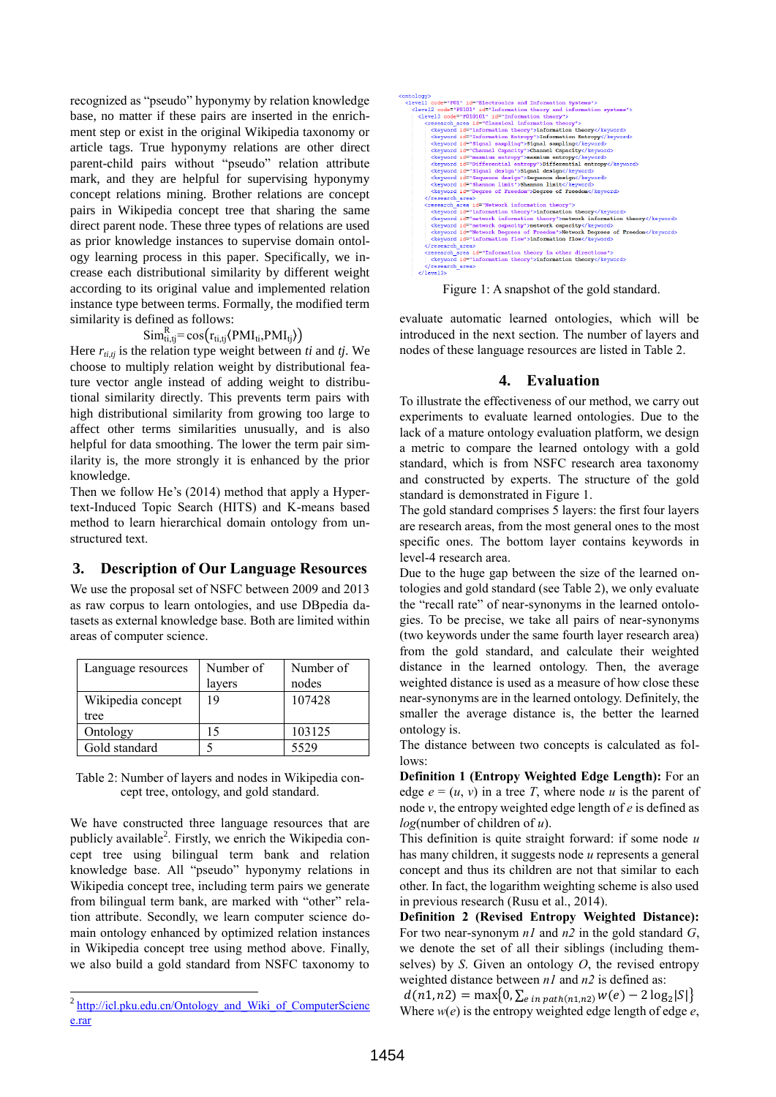recognized as "pseudo" hyponymy by relation knowledge base, no matter if these pairs are inserted in the enrichment step or exist in the original Wikipedia taxonomy or article tags. True hyponymy relations are other direct parent-child pairs without "pseudo" relation attribute mark, and they are helpful for supervising hyponymy concept relations mining. Brother relations are concept pairs in Wikipedia concept tree that sharing the same direct parent node. These three types of relations are used as prior knowledge instances to supervise domain ontology learning process in this paper. Specifically, we increase each distributional similarity by different weight according to its original value and implemented relation instance type between terms. Formally, the modified term similarity is defined as follows:

 $Sim_{ti, tj}^R = cos(r_{ti, tj} \langle PMI_{ti}, PMI_{tj} \rangle)$ 

Here  $r_{t, t, t}$  is the relation type weight between *ti* and *tj*. We choose to multiply relation weight by distributional feature vector angle instead of adding weight to distributional similarity directly. This prevents term pairs with high distributional similarity from growing too large to affect other terms similarities unusually, and is also helpful for data smoothing. The lower the term pair similarity is, the more strongly it is enhanced by the prior knowledge.

Then we follow He's (2014) method that apply a Hypertext-Induced Topic Search (HITS) and K-means based method to learn hierarchical domain ontology from unstructured text.

## **3. Description of Our Language Resources**

We use the proposal set of NSFC between 2009 and 2013 as raw corpus to learn ontologies, and use DBpedia datasets as external knowledge base. Both are limited within areas of computer science.

| Language resources | Number of | Number of |
|--------------------|-----------|-----------|
|                    | layers    | nodes     |
| Wikipedia concept  | 19        | 107428    |
| tree               |           |           |
| Ontology           | 15        | 103125    |
| Gold standard      |           | 5529      |

Table 2: Number of layers and nodes in Wikipedia concept tree, ontology, and gold standard.

We have constructed three language resources that are publicly available<sup>2</sup>. Firstly, we enrich the Wikipedia concept tree using bilingual term bank and relation knowledge base. All "pseudo" hyponymy relations in Wikipedia concept tree, including term pairs we generate from bilingual term bank, are marked with "other" relation attribute. Secondly, we learn computer science domain ontology enhanced by optimized relation instances in Wikipedia concept tree using method above. Finally, we also build a gold standard from NSFC taxonomy to

l

| <ontology></ontology>                                                                       |  |  |  |
|---------------------------------------------------------------------------------------------|--|--|--|
| <level1 code="F01" id="Electronics and Information Systems"></level1>                       |  |  |  |
| <level2 code="F0101" id="Information theory and information systems"></level2>              |  |  |  |
| <level3 code="F010101" id="Information theory"></level3>                                    |  |  |  |
| <research area="" id="Classical information theory"></research>                             |  |  |  |
| <keyword id="information theory">information theory</keyword>                               |  |  |  |
| <keyword id="Information Entropy">Information Entropy</keyword>                             |  |  |  |
| <keyword id="Signal sampling">Signal sampling</keyword>                                     |  |  |  |
| <keyword id="Channel Capacity">Channel Capacity</keyword>                                   |  |  |  |
| <keyword id="maxmium entropy">maxmium entropy</keyword>                                     |  |  |  |
| <keyword_id="differential_entropy">Differential_entropy</keyword_id="differential_entropy"> |  |  |  |
| <keyword id="Signal design">Signal design</keyword>                                         |  |  |  |
| <keyword id="Sequence design">Sequence design</keyword>                                     |  |  |  |
| <keyword id="Shannon limit">Shannon limit</keyword>                                         |  |  |  |
| <keyword id="Degree of Freedom">Degree of Freedom</keyword>                                 |  |  |  |
|                                                                                             |  |  |  |
| <research area="" id="Network information theory"></research>                               |  |  |  |
| <keyword id="information theory">information theory</keyword>                               |  |  |  |
| <keyword id="network information theory">network information theory</keyword>               |  |  |  |
| <keyword id="network capacity">network capacity</keyword>                                   |  |  |  |
| <keyword id="Network Degrees of Freedom">Network Degrees of Freedom</keyword>               |  |  |  |
| <keyword id="information flow">information flow</keyword>                                   |  |  |  |
|                                                                                             |  |  |  |
| <research area="" id="Information theory in other directions"></research>                   |  |  |  |
| <keyword_id="information_theory">information_theory</keyword_id="information_theory">       |  |  |  |
|                                                                                             |  |  |  |
| $\langle$ /level3>                                                                          |  |  |  |

Figure 1: A snapshot of the gold standard.

evaluate automatic learned ontologies, which will be introduced in the next section. The number of layers and nodes of these language resources are listed in Table 2.

## **4. Evaluation**

To illustrate the effectiveness of our method, we carry out experiments to evaluate learned ontologies. Due to the lack of a mature ontology evaluation platform, we design a metric to compare the learned ontology with a gold standard, which is from NSFC research area taxonomy and constructed by experts. The structure of the gold standard is demonstrated in Figure 1.

The gold standard comprises 5 layers: the first four layers are research areas, from the most general ones to the most specific ones. The bottom layer contains keywords in level-4 research area.

Due to the huge gap between the size of the learned ontologies and gold standard (see Table 2), we only evaluate the "recall rate" of near-synonyms in the learned ontologies. To be precise, we take all pairs of near-synonyms (two keywords under the same fourth layer research area) from the gold standard, and calculate their weighted distance in the learned ontology. Then, the average weighted distance is used as a measure of how close these near-synonyms are in the learned ontology. Definitely, the smaller the average distance is, the better the learned ontology is.

The distance between two concepts is calculated as follows:

**Definition 1 (Entropy Weighted Edge Length):** For an edge  $e = (u, v)$  in a tree *T*, where node *u* is the parent of node *v*, the entropy weighted edge length of *e* is defined as *log*(number of children of *u*).

This definition is quite straight forward: if some node *u* has many children, it suggests node *u* represents a general concept and thus its children are not that similar to each other. In fact, the logarithm weighting scheme is also used in previous research (Rusu et al., 2014).

**Definition 2 (Revised Entropy Weighted Distance):** For two near-synonym *n1* and *n2* in the gold standard *G*, we denote the set of all their siblings (including themselves) by *S*. Given an ontology *O*, the revised entropy weighted distance between *n1* and *n2* is defined as:

 $d(n1, n2) = \max\{0, \sum_{e \text{ in path}(n1, n2)} w(e) - 2 \log_2 |S|\}$ Where  $w(e)$  is the entropy weighted edge length of edge  $e$ ,

<sup>&</sup>lt;sup>2</sup> http://icl.pku.edu.cn/Ontology and Wiki of ComputerScienc [e.rar](http://icl.pku.edu.cn/Ontology_and_Wiki_of_ComputerScience.rar)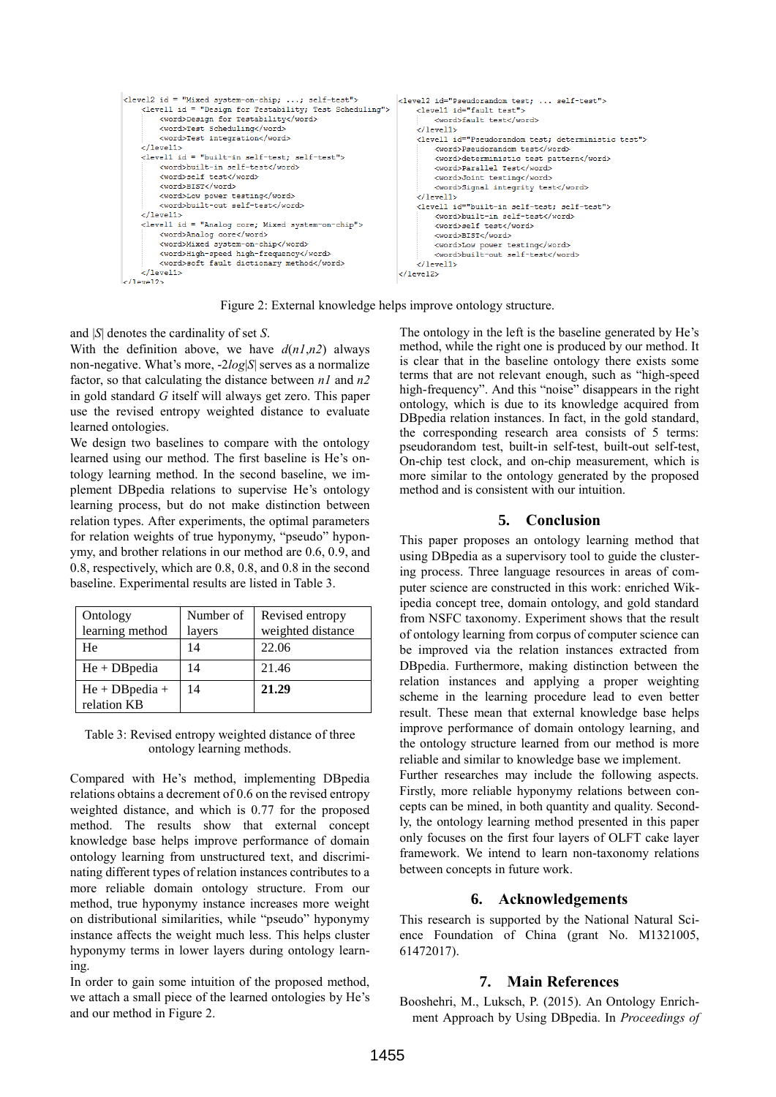| <level2 id="Mixed system-on-chip; ; self-test"><br/><level1 id="Design for Testability; Test Scheduling"><br/><word>Design for Testability</word><br/><word>Test Scheduling</word><br/><word>Test integration</word><br/><math>\langle</math>/level1&gt;<br/><level1 id="built-in self-test; self-test"><br/><word>built-in self-test</word><br/><word>self test</word><br/><word>BIST</word><br/><word>Low power testing</word><br/><word>built-out_self-test</word></level1></level1></level2> | <level2 id="Pseudorandom test;  self-test"><br/><level1 id="fault test"><br/><word>fault_test</word><br/><math>\langle</math>/level1&gt;<br/><level1 id="Pseudorandom test: deterministic test"><br/><word>Pseudorandom test</word><br/><word>deterministic test pattern</word><br/><word>Parallel Test</word><br/><word>Joint testing</word><br/><word>Signal integrity test</word><br/><math>\langle</math>/level1&gt;<br/><level1 id="built-in self-test; self-test"></level1></level1></level1></level2> |
|--------------------------------------------------------------------------------------------------------------------------------------------------------------------------------------------------------------------------------------------------------------------------------------------------------------------------------------------------------------------------------------------------------------------------------------------------------------------------------------------------|--------------------------------------------------------------------------------------------------------------------------------------------------------------------------------------------------------------------------------------------------------------------------------------------------------------------------------------------------------------------------------------------------------------------------------------------------------------------------------------------------------------|
| $\langle$ /level1>                                                                                                                                                                                                                                                                                                                                                                                                                                                                               | <word>built-in self-test</word>                                                                                                                                                                                                                                                                                                                                                                                                                                                                              |
| <level1 id="Analog core; Mixed system-on-chip"><br/><word>Analog core</word><br/><word>Mixed system-on-chip</word><br/><word>High-speed high-frequency</word><br/><word>soft fault dictionary method</word><br/><math>\langle</math>/level1&gt;</level1>                                                                                                                                                                                                                                         | <word>self test</word><br><word>BIST</word><br><word>Low power testing</word><br><word>built-out self-test</word><br>$\langle$ /level1>                                                                                                                                                                                                                                                                                                                                                                      |
| $\angle$ /level2>                                                                                                                                                                                                                                                                                                                                                                                                                                                                                | $\langle$ /level2>                                                                                                                                                                                                                                                                                                                                                                                                                                                                                           |

Figure 2: External knowledge helps improve ontology structure.

and |*S*| denotes the cardinality of set *S*.

With the definition above, we have  $d(nl, n2)$  always non-negative. What's more, -2*log*|*S*| serves as a normalize factor, so that calculating the distance between *n1* and *n2* in gold standard *G* itself will always get zero. This paper use the revised entropy weighted distance to evaluate learned ontologies.

We design two baselines to compare with the ontology learned using our method. The first baseline is He's ontology learning method. In the second baseline, we implement DBpedia relations to supervise He's ontology learning process, but do not make distinction between relation types. After experiments, the optimal parameters for relation weights of true hyponymy, "pseudo" hyponymy, and brother relations in our method are 0.6, 0.9, and 0.8, respectively, which are 0.8, 0.8, and 0.8 in the second baseline. Experimental results are listed in Table 3.

| Ontology                         | Number of | Revised entropy   |
|----------------------------------|-----------|-------------------|
| learning method                  | layers    | weighted distance |
| He                               | 14        | 22.06             |
| $He + DB$ pedia                  | 14        | 21.46             |
| $He + DB$ pedia +<br>relation KB | 14        | 21.29             |

#### Table 3: Revised entropy weighted distance of three ontology learning methods.

Compared with He's method, implementing DBpedia relations obtains a decrement of 0.6 on the revised entropy weighted distance, and which is 0.77 for the proposed method. The results show that external concept knowledge base helps improve performance of domain ontology learning from unstructured text, and discriminating different types of relation instances contributes to a more reliable domain ontology structure. From our method, true hyponymy instance increases more weight on distributional similarities, while "pseudo" hyponymy instance affects the weight much less. This helps cluster hyponymy terms in lower layers during ontology learning.

In order to gain some intuition of the proposed method, we attach a small piece of the learned ontologies by He's and our method in Figure 2.

The ontology in the left is the baseline generated by He's method, while the right one is produced by our method. It is clear that in the baseline ontology there exists some terms that are not relevant enough, such as "high-speed high-frequency". And this "noise" disappears in the right ontology, which is due to its knowledge acquired from DBpedia relation instances. In fact, in the gold standard, the corresponding research area consists of 5 terms: pseudorandom test, built-in self-test, built-out self-test, On-chip test clock, and on-chip measurement, which is more similar to the ontology generated by the proposed method and is consistent with our intuition.

### **5. Conclusion**

This paper proposes an ontology learning method that using DBpedia as a supervisory tool to guide the clustering process. Three language resources in areas of computer science are constructed in this work: enriched Wikipedia concept tree, domain ontology, and gold standard from NSFC taxonomy. Experiment shows that the result of ontology learning from corpus of computer science can be improved via the relation instances extracted from DBpedia. Furthermore, making distinction between the relation instances and applying a proper weighting scheme in the learning procedure lead to even better result. These mean that external knowledge base helps improve performance of domain ontology learning, and the ontology structure learned from our method is more reliable and similar to knowledge base we implement.

Further researches may include the following aspects. Firstly, more reliable hyponymy relations between concepts can be mined, in both quantity and quality. Secondly, the ontology learning method presented in this paper only focuses on the first four layers of OLFT cake layer framework. We intend to learn non-taxonomy relations between concepts in future work.

#### **6. Acknowledgements**

This research is supported by the National Natural Science Foundation of China (grant No. M1321005, 61472017).

### **7. Main References**

Booshehri, M., Luksch, P. (2015). An Ontology Enrichment Approach by Using DBpedia. In *Proceedings of*